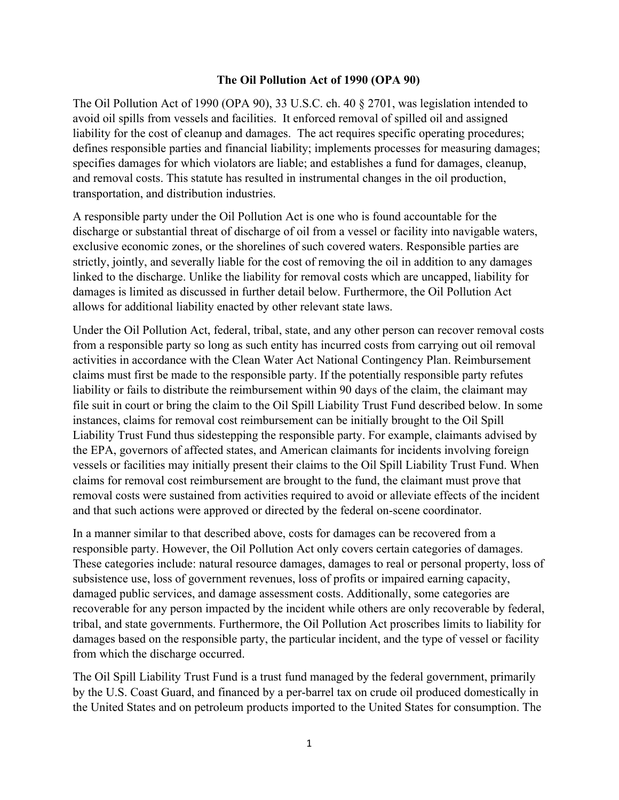## **The Oil Pollution Act of 1990 (OPA 90)**

The Oil Pollution Act of 1990 (OPA 90), 33 U.S.C. ch. 40 § 2701, was legislation intended to avoid oil spills from vessels and facilities. It enforced removal of spilled oil and assigned liability for the cost of cleanup and damages. The act requires specific operating procedures; defines responsible parties and financial liability; implements processes for measuring damages; specifies damages for which violators are liable; and establishes a fund for damages, cleanup, and removal costs. This statute has resulted in instrumental changes in the oil production, transportation, and distribution industries.

A responsible party under the Oil Pollution Act is one who is found accountable for the discharge or substantial threat of discharge of oil from a vessel or facility into navigable waters, exclusive economic zones, or the shorelines of such covered waters. Responsible parties are strictly, jointly, and severally liable for the cost of removing the oil in addition to any damages linked to the discharge. Unlike the liability for removal costs which are uncapped, liability for damages is limited as discussed in further detail below. Furthermore, the Oil Pollution Act allows for additional liability enacted by other relevant state laws.

Under the Oil Pollution Act, federal, tribal, state, and any other person can recover removal costs from a responsible party so long as such entity has incurred costs from carrying out oil removal activities in accordance with the Clean Water Act National Contingency Plan. Reimbursement claims must first be made to the responsible party. If the potentially responsible party refutes liability or fails to distribute the reimbursement within 90 days of the claim, the claimant may file suit in court or bring the claim to the Oil Spill Liability Trust Fund described below. In some instances, claims for removal cost reimbursement can be initially brought to the Oil Spill Liability Trust Fund thus sidestepping the responsible party. For example, claimants advised by the EPA, governors of affected states, and American claimants for incidents involving foreign vessels or facilities may initially present their claims to the Oil Spill Liability Trust Fund. When claims for removal cost reimbursement are brought to the fund, the claimant must prove that removal costs were sustained from activities required to avoid or alleviate effects of the incident and that such actions were approved or directed by the federal on-scene coordinator.

In a manner similar to that described above, costs for damages can be recovered from a responsible party. However, the Oil Pollution Act only covers certain categories of damages. These categories include: natural resource damages, damages to real or personal property, loss of subsistence use, loss of government revenues, loss of profits or impaired earning capacity, damaged public services, and damage assessment costs. Additionally, some categories are recoverable for any person impacted by the incident while others are only recoverable by federal, tribal, and state governments. Furthermore, the Oil Pollution Act proscribes limits to liability for damages based on the responsible party, the particular incident, and the type of vessel or facility from which the discharge occurred.

The Oil Spill Liability Trust Fund is a trust fund managed by the federal government, primarily by the U.S. Coast Guard, and financed by a per-barrel tax on crude oil produced domestically in the United States and on petroleum products imported to the United States for consumption. The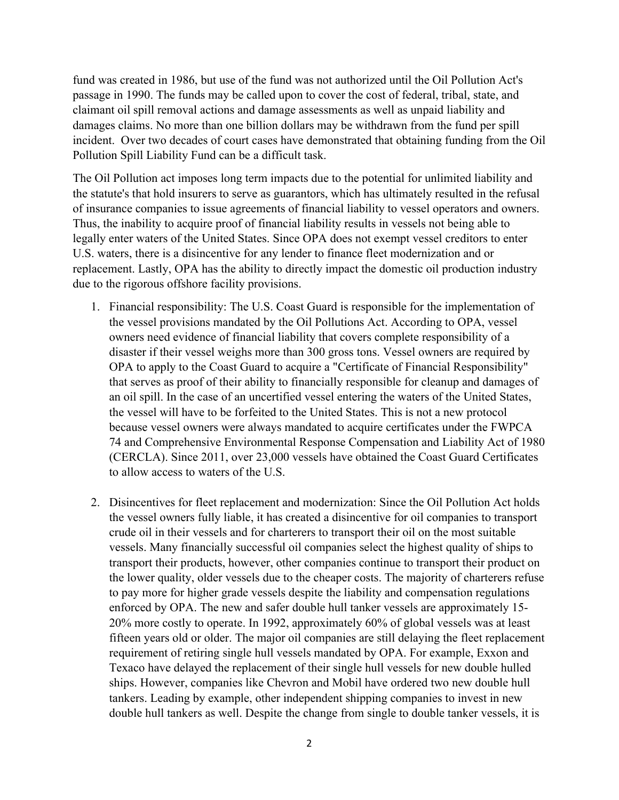fund was created in 1986, but use of the fund was not authorized until the Oil Pollution Act's passage in 1990. The funds may be called upon to cover the cost of federal, tribal, state, and claimant oil spill removal actions and damage assessments as well as unpaid liability and damages claims. No more than one billion dollars may be withdrawn from the fund per spill incident. Over two decades of court cases have demonstrated that obtaining funding from the Oil Pollution Spill Liability Fund can be a difficult task.

The Oil Pollution act imposes long term impacts due to the potential for unlimited liability and the statute's that hold insurers to serve as guarantors, which has ultimately resulted in the refusal of insurance companies to issue agreements of financial liability to vessel operators and owners. Thus, the inability to acquire proof of financial liability results in vessels not being able to legally enter waters of the United States. Since OPA does not exempt vessel creditors to enter U.S. waters, there is a disincentive for any lender to finance fleet modernization and or replacement. Lastly, OPA has the ability to directly impact the domestic oil production industry due to the rigorous offshore facility provisions.

- 1. Financial responsibility: The U.S. Coast Guard is responsible for the implementation of the vessel provisions mandated by the Oil Pollutions Act. According to OPA, vessel owners need evidence of financial liability that covers complete responsibility of a disaster if their vessel weighs more than 300 gross tons. Vessel owners are required by OPA to apply to the Coast Guard to acquire a "Certificate of Financial Responsibility" that serves as proof of their ability to financially responsible for cleanup and damages of an oil spill. In the case of an uncertified vessel entering the waters of the United States, the vessel will have to be forfeited to the United States. This is not a new protocol because vessel owners were always mandated to acquire certificates under the FWPCA 74 and Comprehensive Environmental Response Compensation and Liability Act of 1980 (CERCLA). Since 2011, over 23,000 vessels have obtained the Coast Guard Certificates to allow access to waters of the U.S.
- 2. Disincentives for fleet replacement and modernization: Since the Oil Pollution Act holds the vessel owners fully liable, it has created a disincentive for oil companies to transport crude oil in their vessels and for charterers to transport their oil on the most suitable vessels. Many financially successful oil companies select the highest quality of ships to transport their products, however, other companies continue to transport their product on the lower quality, older vessels due to the cheaper costs. The majority of charterers refuse to pay more for higher grade vessels despite the liability and compensation regulations enforced by OPA. The new and safer double hull tanker vessels are approximately 15- 20% more costly to operate. In 1992, approximately 60% of global vessels was at least fifteen years old or older. The major oil companies are still delaying the fleet replacement requirement of retiring single hull vessels mandated by OPA. For example, Exxon and Texaco have delayed the replacement of their single hull vessels for new double hulled ships. However, companies like Chevron and Mobil have ordered two new double hull tankers. Leading by example, other independent shipping companies to invest in new double hull tankers as well. Despite the change from single to double tanker vessels, it is